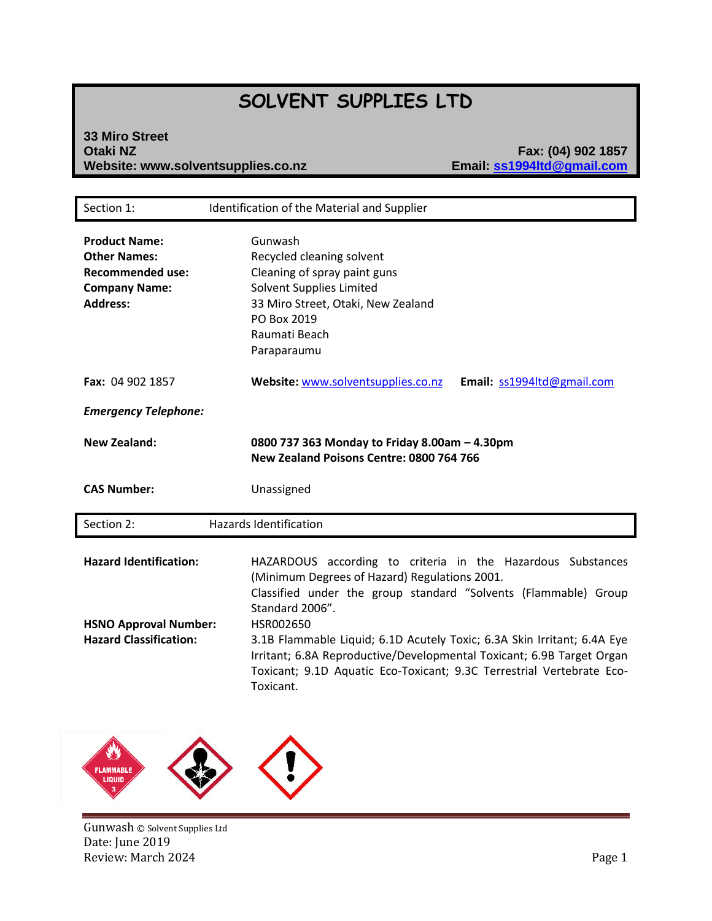# **SOLVENT SUPPLIES LTD**

# **33 Miro Street Website: www.solventsupplies.co.nz**

**Otaki NZ Fax: (04) 902 1857**

| Section 1:                                                                                                        | Identification of the Material and Supplier                                                                                                                                                                                                                                                                                                                                                                                                               |
|-------------------------------------------------------------------------------------------------------------------|-----------------------------------------------------------------------------------------------------------------------------------------------------------------------------------------------------------------------------------------------------------------------------------------------------------------------------------------------------------------------------------------------------------------------------------------------------------|
| <b>Product Name:</b><br><b>Other Names:</b><br><b>Recommended use:</b><br><b>Company Name:</b><br><b>Address:</b> | Gunwash<br>Recycled cleaning solvent<br>Cleaning of spray paint guns<br>Solvent Supplies Limited<br>33 Miro Street, Otaki, New Zealand<br>PO Box 2019<br>Raumati Beach<br>Paraparaumu                                                                                                                                                                                                                                                                     |
| <b>Fax: 04 902 1857</b>                                                                                           | Website: www.solventsupplies.co.nz<br>Email: ss1994ltd@gmail.com                                                                                                                                                                                                                                                                                                                                                                                          |
| <b>Emergency Telephone:</b>                                                                                       |                                                                                                                                                                                                                                                                                                                                                                                                                                                           |
| <b>New Zealand:</b>                                                                                               | 0800 737 363 Monday to Friday 8.00am - 4.30pm<br>New Zealand Poisons Centre: 0800 764 766                                                                                                                                                                                                                                                                                                                                                                 |
| <b>CAS Number:</b>                                                                                                | Unassigned                                                                                                                                                                                                                                                                                                                                                                                                                                                |
| Section 2:                                                                                                        | <b>Hazards Identification</b>                                                                                                                                                                                                                                                                                                                                                                                                                             |
| <b>Hazard Identification:</b><br><b>HSNO Approval Number:</b><br><b>Hazard Classification:</b>                    | HAZARDOUS according to criteria in the Hazardous Substances<br>(Minimum Degrees of Hazard) Regulations 2001.<br>Classified under the group standard "Solvents (Flammable) Group<br>Standard 2006".<br>HSR002650<br>3.1B Flammable Liquid; 6.1D Acutely Toxic; 6.3A Skin Irritant; 6.4A Eye<br>Irritant; 6.8A Reproductive/Developmental Toxicant; 6.9B Target Organ<br>Toxicant; 9.1D Aquatic Eco-Toxicant; 9.3C Terrestrial Vertebrate Eco-<br>Toxicant. |

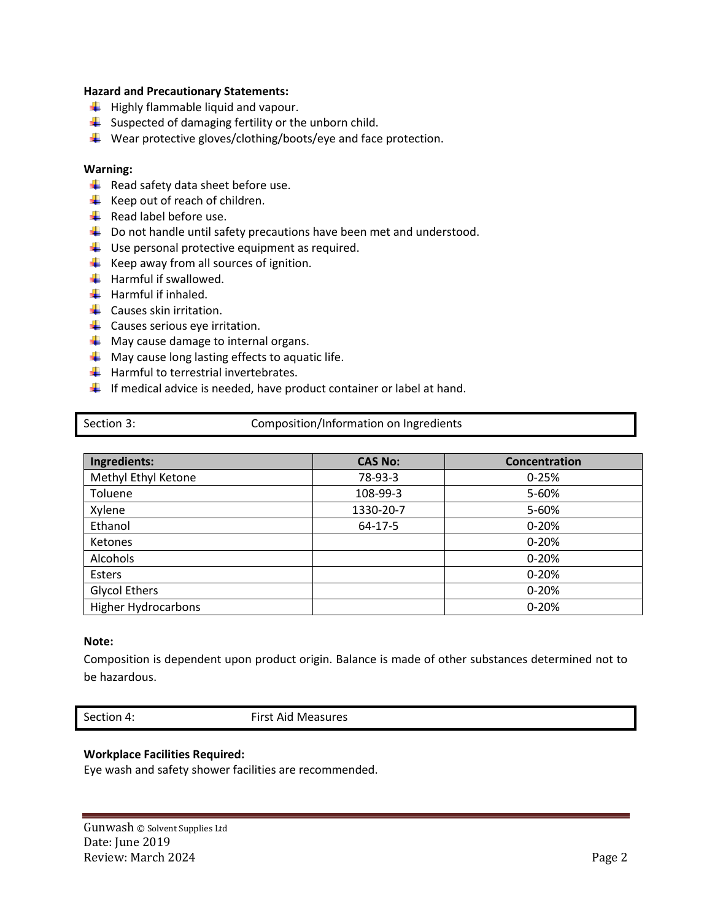## **Hazard and Precautionary Statements:**

- $\frac{1}{\sqrt{2}}$  Highly flammable liquid and vapour.
- $\downarrow$  Suspected of damaging fertility or the unborn child.
- $\frac{1}{\sqrt{2}}$  Wear protective gloves/clothing/boots/eye and face protection.

## **Warning:**

- $\overline{\phantom{a}}$  Read safety data sheet before use.
- $\frac{1}{\sqrt{1}}$  Keep out of reach of children.
- $\overline{\phantom{a} \bullet}$  Read label before use.
- $\downarrow$  Do not handle until safety precautions have been met and understood.
- $\downarrow$  Use personal protective equipment as required.
- $\frac{1}{\sqrt{2}}$  Keep away from all sources of ignition.
- $\frac{1}{\sqrt{2}}$  Harmful if swallowed.
- $\frac{1}{\sqrt{2}}$  Harmful if inhaled.
- $\leftarrow$  Causes skin irritation.
- $\leftarrow$  Causes serious eye irritation.
- $\blacktriangle$  May cause damage to internal organs.
- $\downarrow$  May cause long lasting effects to aquatic life.
- $\frac{1}{\sqrt{2}}$  Harmful to terrestrial invertebrates.
- $\ddot{\phantom{1}}$  If medical advice is needed, have product container or label at hand.

| Section 3: |  |
|------------|--|
|            |  |

# Composition/Information on Ingredients

| Ingredients:               | <b>CAS No:</b> | Concentration |
|----------------------------|----------------|---------------|
| Methyl Ethyl Ketone        | 78-93-3        | $0 - 25%$     |
| Toluene                    | 108-99-3       | 5-60%         |
| Xylene                     | 1330-20-7      | 5-60%         |
| Ethanol                    | 64-17-5        | $0 - 20%$     |
| Ketones                    |                | $0 - 20%$     |
| Alcohols                   |                | $0 - 20%$     |
| Esters                     |                | $0 - 20%$     |
| <b>Glycol Ethers</b>       |                | $0 - 20%$     |
| <b>Higher Hydrocarbons</b> |                | $0 - 20%$     |

## **Note:**

Composition is dependent upon product origin. Balance is made of other substances determined not to be hazardous.

Section 4: First Aid Measures

# **Workplace Facilities Required:**

Eye wash and safety shower facilities are recommended.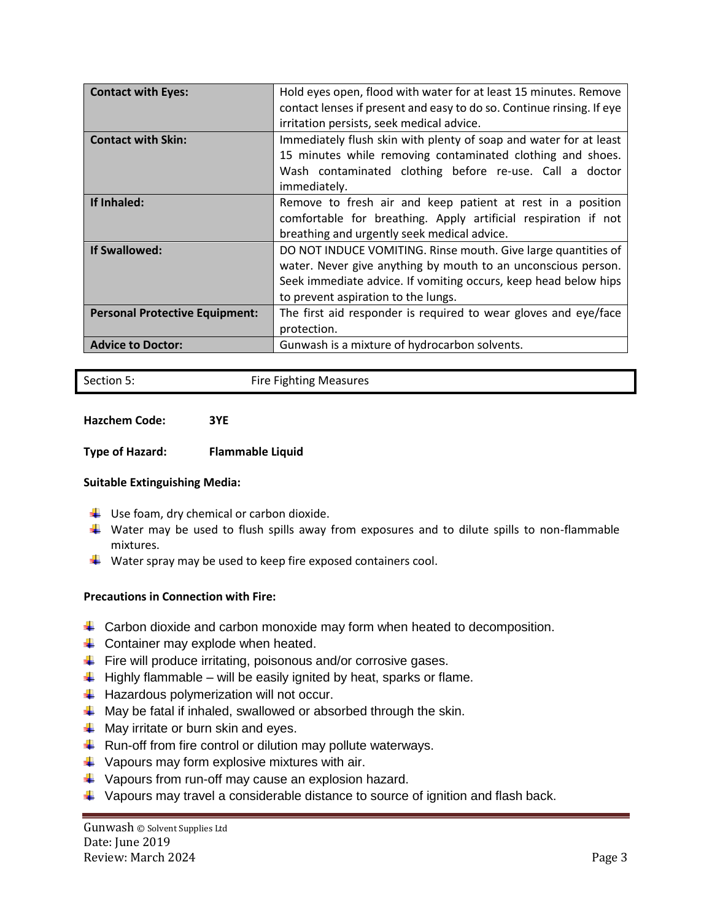| <b>Contact with Eyes:</b>             | Hold eyes open, flood with water for at least 15 minutes. Remove      |  |
|---------------------------------------|-----------------------------------------------------------------------|--|
|                                       | contact lenses if present and easy to do so. Continue rinsing. If eye |  |
|                                       | irritation persists, seek medical advice.                             |  |
| <b>Contact with Skin:</b>             | Immediately flush skin with plenty of soap and water for at least     |  |
|                                       | 15 minutes while removing contaminated clothing and shoes.            |  |
|                                       | Wash contaminated clothing before re-use. Call a doctor               |  |
|                                       | immediately.                                                          |  |
| If Inhaled:                           | Remove to fresh air and keep patient at rest in a position            |  |
|                                       | comfortable for breathing. Apply artificial respiration if not        |  |
|                                       | breathing and urgently seek medical advice.                           |  |
| <b>If Swallowed:</b>                  | DO NOT INDUCE VOMITING. Rinse mouth. Give large quantities of         |  |
|                                       | water. Never give anything by mouth to an unconscious person.         |  |
|                                       | Seek immediate advice. If vomiting occurs, keep head below hips       |  |
|                                       | to prevent aspiration to the lungs.                                   |  |
| <b>Personal Protective Equipment:</b> | The first aid responder is required to wear gloves and eye/face       |  |
|                                       | protection.                                                           |  |
| <b>Advice to Doctor:</b>              | Gunwash is a mixture of hydrocarbon solvents.                         |  |

Section 5: The Fighting Measures

**Hazchem Code: 3YE**

**Type of Hazard: Flammable Liquid**

# **Suitable Extinguishing Media:**

- $\frac{1}{\sqrt{2}}$  Use foam, dry chemical or carbon dioxide.
- $\ddot{\phantom{1}}$  Water may be used to flush spills away from exposures and to dilute spills to non-flammable mixtures.
- $\frac{1}{2}$  Water spray may be used to keep fire exposed containers cool.

# **Precautions in Connection with Fire:**

- $\downarrow$  Carbon dioxide and carbon monoxide may form when heated to decomposition.
- $\downarrow$  Container may explode when heated.
- Fire will produce irritating, poisonous and/or corrosive gases.
- $\ddot{\phantom{1}}$  Highly flammable will be easily ignited by heat, sparks or flame.
- $\ddot{\phantom{1}}$  Hazardous polymerization will not occur.
- $\downarrow$  May be fatal if inhaled, swallowed or absorbed through the skin.
- $\downarrow$  May irritate or burn skin and eyes.
- $\downarrow$  Run-off from fire control or dilution may pollute waterways.
- $\downarrow$  Vapours may form explosive mixtures with air.
- ↓ Vapours from run-off may cause an explosion hazard.
- $\downarrow$  Vapours may travel a considerable distance to source of ignition and flash back.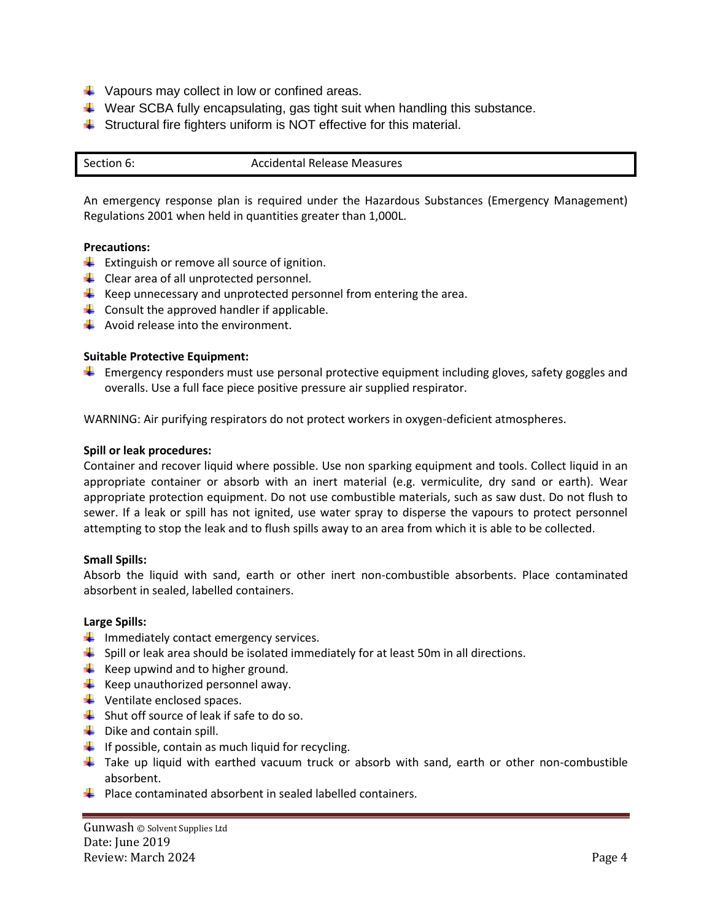- $\downarrow$  Vapours may collect in low or confined areas.
- $\ddotplus$  Wear SCBA fully encapsulating, gas tight suit when handling this substance.
- $\ddot{\phantom{1}}$  Structural fire fighters uniform is NOT effective for this material.

| Section 6: | <b>Accidental Release Measures</b> |
|------------|------------------------------------|
|            |                                    |

An emergency response plan is required under the Hazardous Substances (Emergency Management) Regulations 2001 when held in quantities greater than 1,000L.

## **Precautions:**

- $\downarrow$  Extinguish or remove all source of ignition.
- $\downarrow$  Clear area of all unprotected personnel.
- $\ddot{*}$  Keep unnecessary and unprotected personnel from entering the area.
- $\downarrow$  Consult the approved handler if applicable.
- $\frac{1}{\sqrt{2}}$  Avoid release into the environment.

## **Suitable Protective Equipment:**

 $\downarrow$  Emergency responders must use personal protective equipment including gloves, safety goggles and overalls. Use a full face piece positive pressure air supplied respirator.

WARNING: Air purifying respirators do not protect workers in oxygen-deficient atmospheres.

#### **Spill or leak procedures:**

Container and recover liquid where possible. Use non sparking equipment and tools. Collect liquid in an appropriate container or absorb with an inert material (e.g. vermiculite, dry sand or earth). Wear appropriate protection equipment. Do not use combustible materials, such as saw dust. Do not flush to sewer. If a leak or spill has not ignited, use water spray to disperse the vapours to protect personnel attempting to stop the leak and to flush spills away to an area from which it is able to be collected.

## **Small Spills:**

Absorb the liquid with sand, earth or other inert non-combustible absorbents. Place contaminated absorbent in sealed, labelled containers.

## **Large Spills:**

- $\frac{1}{\sqrt{2}}$  Immediately contact emergency services.
- $\frac{1}{2}$  Spill or leak area should be isolated immediately for at least 50m in all directions.
- $\frac{1}{\sqrt{2}}$  Keep upwind and to higher ground.
- $\frac{1}{\sqrt{2}}$  Keep unauthorized personnel away.
- $\leftarrow$  Ventilate enclosed spaces.
- $\frac{1}{\sqrt{2}}$  Shut off source of leak if safe to do so.
- $\downarrow$  Dike and contain spill.
- $\downarrow$  If possible, contain as much liquid for recycling.
- $\downarrow$  Take up liquid with earthed vacuum truck or absorb with sand, earth or other non-combustible absorbent.
- $\ddot{+}$  Place contaminated absorbent in sealed labelled containers.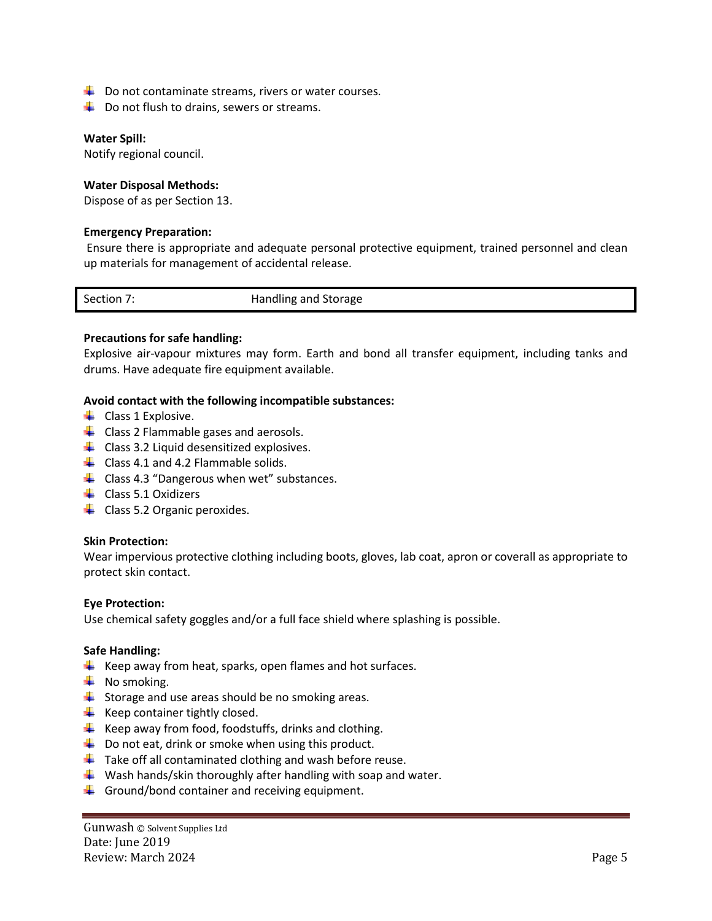- $\downarrow$  Do not contaminate streams, rivers or water courses.
- $\downarrow$  Do not flush to drains, sewers or streams.

#### **Water Spill:**

Notify regional council.

#### **Water Disposal Methods:**

Dispose of as per Section 13.

#### **Emergency Preparation:**

Ensure there is appropriate and adequate personal protective equipment, trained personnel and clean up materials for management of accidental release.

| Section 7. | Handling and Storage |
|------------|----------------------|
|            |                      |

#### **Precautions for safe handling:**

Explosive air-vapour mixtures may form. Earth and bond all transfer equipment, including tanks and drums. Have adequate fire equipment available.

#### **Avoid contact with the following incompatible substances:**

- $\leftarrow$  Class 1 Explosive.
- $\downarrow$  Class 2 Flammable gases and aerosols.
- $\downarrow$  Class 3.2 Liquid desensitized explosives.
- $\downarrow$  Class 4.1 and 4.2 Flammable solids.
- $\downarrow$  Class 4.3 "Dangerous when wet" substances.
- $\leftarrow$  Class 5.1 Oxidizers
- $\downarrow$  Class 5.2 Organic peroxides.

#### **Skin Protection:**

Wear impervious protective clothing including boots, gloves, lab coat, apron or coverall as appropriate to protect skin contact.

## **Eye Protection:**

Use chemical safety goggles and/or a full face shield where splashing is possible.

## **Safe Handling:**

- $\downarrow$  Keep away from heat, sparks, open flames and hot surfaces.
- $\downarrow$  No smoking.
- $\downarrow$  Storage and use areas should be no smoking areas.
- $\downarrow$  Keep container tightly closed.
- $\ddot{+}$  Keep away from food, foodstuffs, drinks and clothing.
- $\downarrow$  Do not eat, drink or smoke when using this product.
- $\ddot{+}$  Take off all contaminated clothing and wash before reuse.
- $\downarrow$  Wash hands/skin thoroughly after handling with soap and water.
- $\ddot{\phantom{1}}$  Ground/bond container and receiving equipment.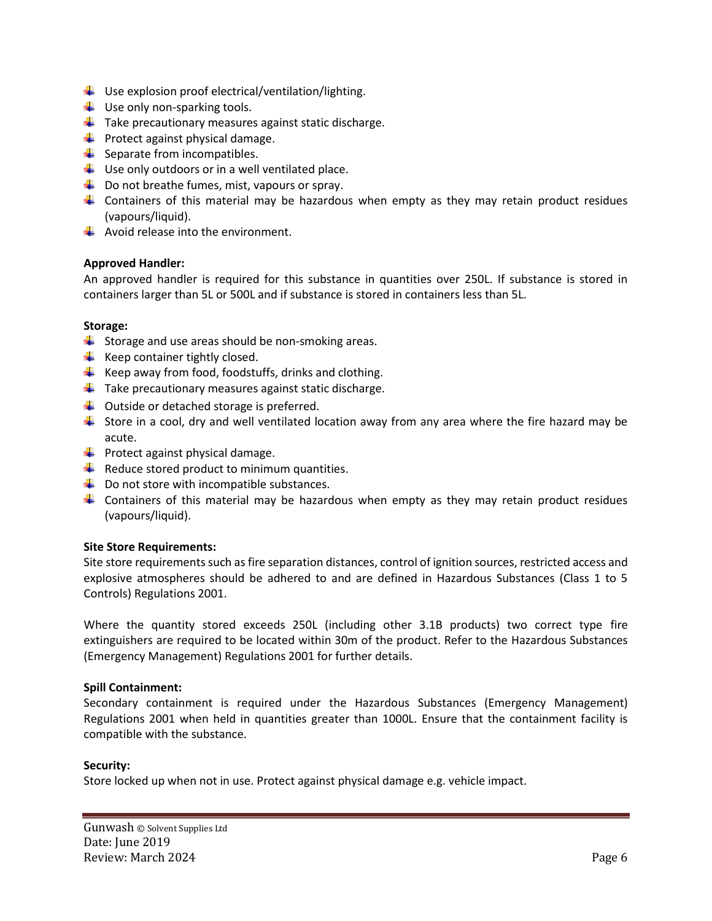- $\downarrow$  Use explosion proof electrical/ventilation/lighting.
- $\downarrow$  Use only non-sparking tools.
- $\downarrow$  Take precautionary measures against static discharge.
- $\downarrow$  Protect against physical damage.
- $\downarrow$  Separate from incompatibles.
- $\downarrow$  Use only outdoors or in a well ventilated place.
- $\downarrow$  Do not breathe fumes, mist, vapours or spray.
- **L** Containers of this material may be hazardous when empty as they may retain product residues (vapours/liquid).
- $\frac{1}{\sqrt{2}}$  Avoid release into the environment.

# **Approved Handler:**

An approved handler is required for this substance in quantities over 250L. If substance is stored in containers larger than 5L or 500L and if substance is stored in containers less than 5L.

## **Storage:**

- $\downarrow$  Storage and use areas should be non-smoking areas.
- $\downarrow$  Keep container tightly closed.
- $\downarrow$  Keep away from food, foodstuffs, drinks and clothing.
- $\ddot{\phantom{1}}$  Take precautionary measures against static discharge.
- $\downarrow$  Outside or detached storage is preferred.
- $\ddot{*}$  Store in a cool, dry and well ventilated location away from any area where the fire hazard may be acute.
- $\downarrow$  Protect against physical damage.
- $\downarrow$  Reduce stored product to minimum quantities.
- $\downarrow$  Do not store with incompatible substances.
- **L** Containers of this material may be hazardous when empty as they may retain product residues (vapours/liquid).

# **Site Store Requirements:**

Site store requirements such as fire separation distances, control of ignition sources, restricted access and explosive atmospheres should be adhered to and are defined in Hazardous Substances (Class 1 to 5 Controls) Regulations 2001.

Where the quantity stored exceeds 250L (including other 3.1B products) two correct type fire extinguishers are required to be located within 30m of the product. Refer to the Hazardous Substances (Emergency Management) Regulations 2001 for further details.

# **Spill Containment:**

Secondary containment is required under the Hazardous Substances (Emergency Management) Regulations 2001 when held in quantities greater than 1000L. Ensure that the containment facility is compatible with the substance.

# **Security:**

Store locked up when not in use. Protect against physical damage e.g. vehicle impact.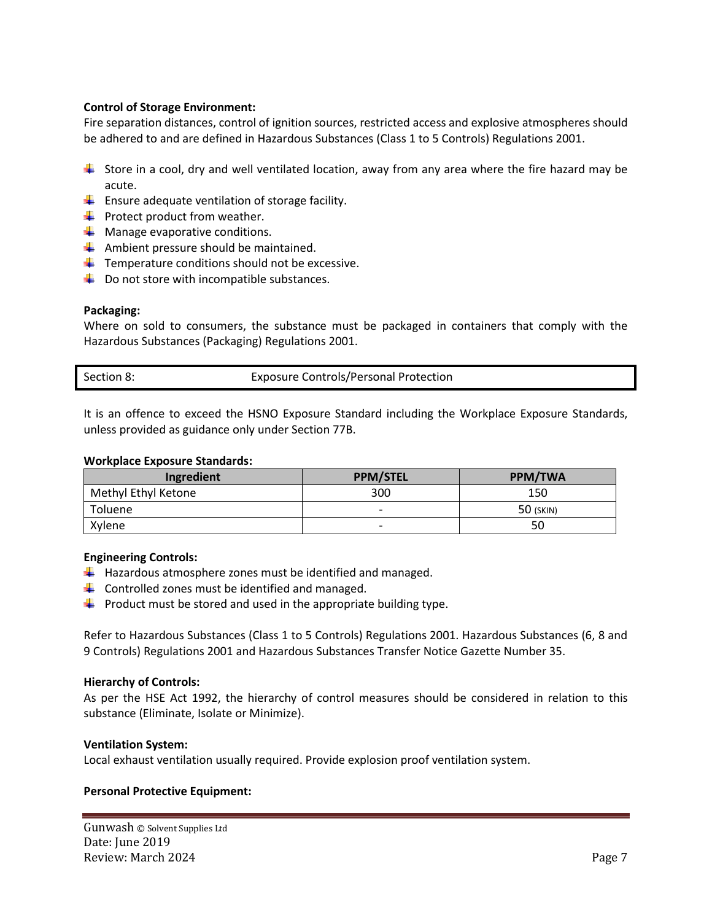# **Control of Storage Environment:**

Fire separation distances, control of ignition sources, restricted access and explosive atmospheres should be adhered to and are defined in Hazardous Substances (Class 1 to 5 Controls) Regulations 2001.

- Store in a cool, dry and well ventilated location, away from any area where the fire hazard may be acute.
- $\downarrow$  Ensure adequate ventilation of storage facility.
- $\downarrow$  Protect product from weather.
- $\downarrow$  Manage evaporative conditions.
- $\downarrow$  Ambient pressure should be maintained.
- $\downarrow$  Temperature conditions should not be excessive.
- $\downarrow$  Do not store with incompatible substances.

# **Packaging:**

Where on sold to consumers, the substance must be packaged in containers that comply with the Hazardous Substances (Packaging) Regulations 2001.

It is an offence to exceed the HSNO Exposure Standard including the Workplace Exposure Standards, unless provided as guidance only under Section 77B.

## **Workplace Exposure Standards:**

| Ingredient          | <b>PPM/STEL</b>          | <b>PPM/TWA</b> |
|---------------------|--------------------------|----------------|
| Methyl Ethyl Ketone | 300                      | 150            |
| Toluene             | $\overline{\phantom{0}}$ | 50 (SKIN)      |
| Xylene              | $\overline{\phantom{0}}$ | 50             |

## **Engineering Controls:**

- $\downarrow$  Hazardous atmosphere zones must be identified and managed.
- $\downarrow$  Controlled zones must be identified and managed.
- $\ddot{\phantom{1}}$  Product must be stored and used in the appropriate building type.

Refer to Hazardous Substances (Class 1 to 5 Controls) Regulations 2001. Hazardous Substances (6, 8 and 9 Controls) Regulations 2001 and Hazardous Substances Transfer Notice Gazette Number 35.

# **Hierarchy of Controls:**

As per the HSE Act 1992, the hierarchy of control measures should be considered in relation to this substance (Eliminate, Isolate or Minimize).

# **Ventilation System:**

Local exhaust ventilation usually required. Provide explosion proof ventilation system.

## **Personal Protective Equipment:**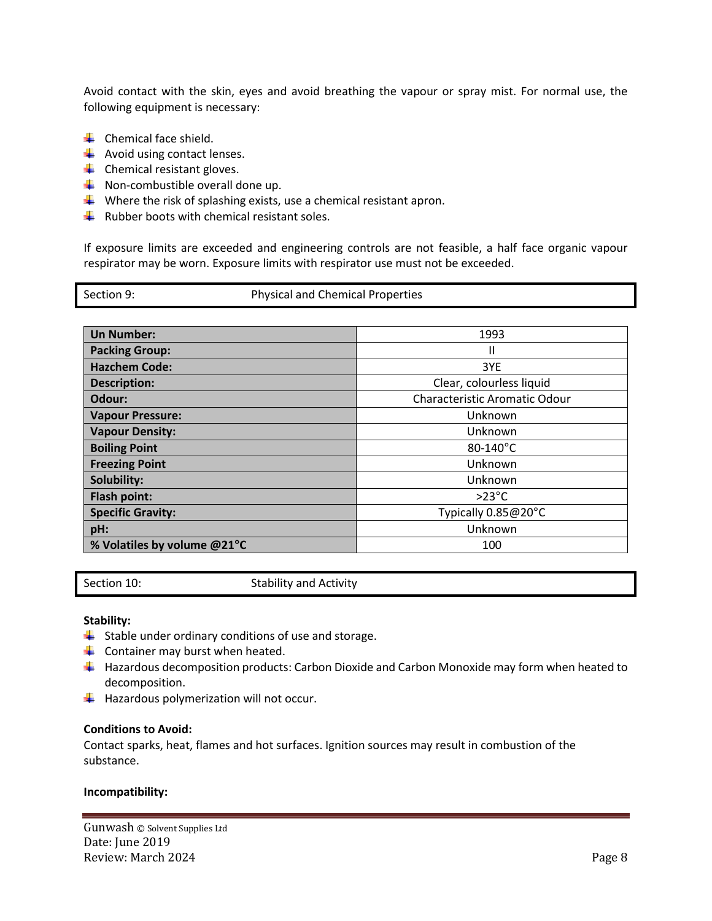Avoid contact with the skin, eyes and avoid breathing the vapour or spray mist. For normal use, the following equipment is necessary:

- $\leftarrow$  Chemical face shield.
- $\overline{\phantom{a}}$  Avoid using contact lenses.
- $\leftarrow$  Chemical resistant gloves.
- $\downarrow$  Non-combustible overall done up.
- $\downarrow$  Where the risk of splashing exists, use a chemical resistant apron.
- $\ddot{*}$  Rubber boots with chemical resistant soles.

If exposure limits are exceeded and engineering controls are not feasible, a half face organic vapour respirator may be worn. Exposure limits with respirator use must not be exceeded.

| <b>Un Number:</b>           | 1993                          |
|-----------------------------|-------------------------------|
| <b>Packing Group:</b>       | Ш                             |
| <b>Hazchem Code:</b>        | 3YE                           |
| <b>Description:</b>         | Clear, colourless liquid      |
| Odour:                      | Characteristic Aromatic Odour |
| <b>Vapour Pressure:</b>     | Unknown                       |
| <b>Vapour Density:</b>      | Unknown                       |
| <b>Boiling Point</b>        | 80-140°C                      |
| <b>Freezing Point</b>       | Unknown                       |
| Solubility:                 | Unknown                       |
| Flash point:                | $>23^{\circ}$ C               |
| <b>Specific Gravity:</b>    | Typically 0.85@20°C           |
| pH:                         | Unknown                       |
| % Volatiles by volume @21°C | 100                           |

Section 10: Stability and Activity

## **Stability:**

- $\downarrow$  Stable under ordinary conditions of use and storage.
- $\overline{\phantom{a}}$  Container may burst when heated.
- $\downarrow$  Hazardous decomposition products: Carbon Dioxide and Carbon Monoxide may form when heated to decomposition.
- $\frac{1}{\sqrt{2}}$  Hazardous polymerization will not occur.

#### **Conditions to Avoid:**

Contact sparks, heat, flames and hot surfaces. Ignition sources may result in combustion of the substance.

#### **Incompatibility:**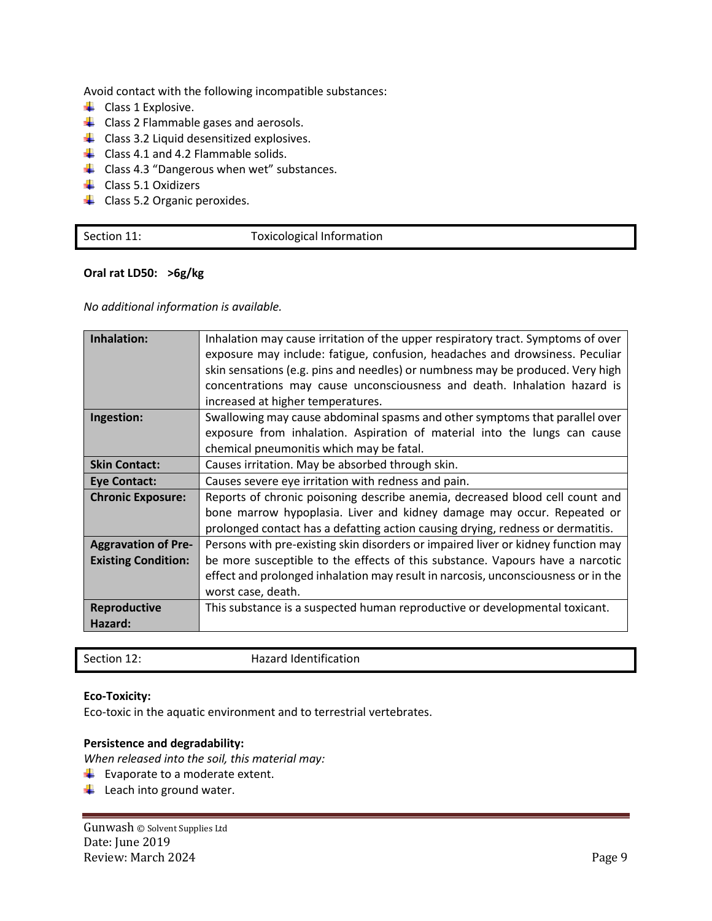Avoid contact with the following incompatible substances:

- $\downarrow$  Class 1 Explosive.
- $\downarrow$  Class 2 Flammable gases and aerosols.
- $\downarrow$  Class 3.2 Liquid desensitized explosives.
- $\downarrow$  Class 4.1 and 4.2 Flammable solids.
- $\downarrow$  Class 4.3 "Dangerous when wet" substances.
- $\downarrow$  Class 5.1 Oxidizers
- Class 5.2 Organic peroxides.

| Section 11: | Toxicological Information |
|-------------|---------------------------|
|             |                           |

## **Oral rat LD50: >6g/kg**

*No additional information is available.*

| Inhalation:                | Inhalation may cause irritation of the upper respiratory tract. Symptoms of over<br>exposure may include: fatigue, confusion, headaches and drowsiness. Peculiar<br>skin sensations (e.g. pins and needles) or numbness may be produced. Very high<br>concentrations may cause unconsciousness and death. Inhalation hazard is<br>increased at higher temperatures. |
|----------------------------|---------------------------------------------------------------------------------------------------------------------------------------------------------------------------------------------------------------------------------------------------------------------------------------------------------------------------------------------------------------------|
| Ingestion:                 | Swallowing may cause abdominal spasms and other symptoms that parallel over<br>exposure from inhalation. Aspiration of material into the lungs can cause<br>chemical pneumonitis which may be fatal.                                                                                                                                                                |
|                            |                                                                                                                                                                                                                                                                                                                                                                     |
| <b>Skin Contact:</b>       | Causes irritation. May be absorbed through skin.                                                                                                                                                                                                                                                                                                                    |
| <b>Eye Contact:</b>        | Causes severe eye irritation with redness and pain.                                                                                                                                                                                                                                                                                                                 |
| <b>Chronic Exposure:</b>   | Reports of chronic poisoning describe anemia, decreased blood cell count and<br>bone marrow hypoplasia. Liver and kidney damage may occur. Repeated or                                                                                                                                                                                                              |
|                            | prolonged contact has a defatting action causing drying, redness or dermatitis.                                                                                                                                                                                                                                                                                     |
| <b>Aggravation of Pre-</b> | Persons with pre-existing skin disorders or impaired liver or kidney function may                                                                                                                                                                                                                                                                                   |
| <b>Existing Condition:</b> | be more susceptible to the effects of this substance. Vapours have a narcotic                                                                                                                                                                                                                                                                                       |
|                            | effect and prolonged inhalation may result in narcosis, unconsciousness or in the                                                                                                                                                                                                                                                                                   |
|                            |                                                                                                                                                                                                                                                                                                                                                                     |
|                            | worst case, death.                                                                                                                                                                                                                                                                                                                                                  |
| Reproductive               | This substance is a suspected human reproductive or developmental toxicant.                                                                                                                                                                                                                                                                                         |
| Hazard:                    |                                                                                                                                                                                                                                                                                                                                                                     |
|                            |                                                                                                                                                                                                                                                                                                                                                                     |

| Hazard Identification<br>Section 12: |
|--------------------------------------|
|--------------------------------------|

## **Eco-Toxicity:**

Eco-toxic in the aquatic environment and to terrestrial vertebrates.

# **Persistence and degradability:**

*When released into the soil, this material may:*

- $\overline{\phantom{a}}$  Evaporate to a moderate extent.
- $\overline{\phantom{a}}$  Leach into ground water.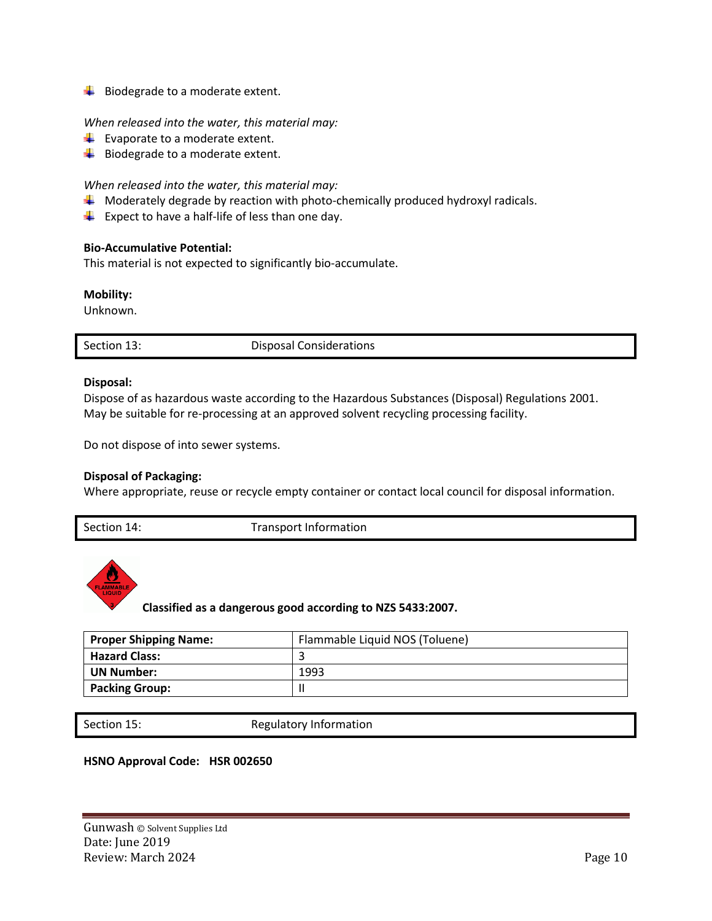$\bigstar$  Biodegrade to a moderate extent.

## *When released into the water, this material may:*

- $\downarrow$  Evaporate to a moderate extent.
- $\overline{\phantom{a}}$  Biodegrade to a moderate extent.

# *When released into the water, this material may:*

- $\downarrow$  Moderately degrade by reaction with photo-chemically produced hydroxyl radicals.
- $\frac{1}{2}$  Expect to have a half-life of less than one day.

## **Bio-Accumulative Potential:**

This material is not expected to significantly bio-accumulate.

## **Mobility:**

Unknown.

| Section 13:<br><b>Disposal Considerations</b> |  |
|-----------------------------------------------|--|
|-----------------------------------------------|--|

## **Disposal:**

Dispose of as hazardous waste according to the Hazardous Substances (Disposal) Regulations 2001. May be suitable for re-processing at an approved solvent recycling processing facility.

Do not dispose of into sewer systems.

# **Disposal of Packaging:**

Where appropriate, reuse or recycle empty container or contact local council for disposal information.

Section 14: Transport Information



**Classified as a dangerous good according to NZS 5433:2007.**

| <b>Proper Shipping Name:</b> | Flammable Liquid NOS (Toluene) |
|------------------------------|--------------------------------|
| <b>Hazard Class:</b>         |                                |
| <b>UN Number:</b>            | 1993                           |
| <b>Packing Group:</b>        |                                |

Section 15: Regulatory Information

## **HSNO Approval Code: HSR 002650**